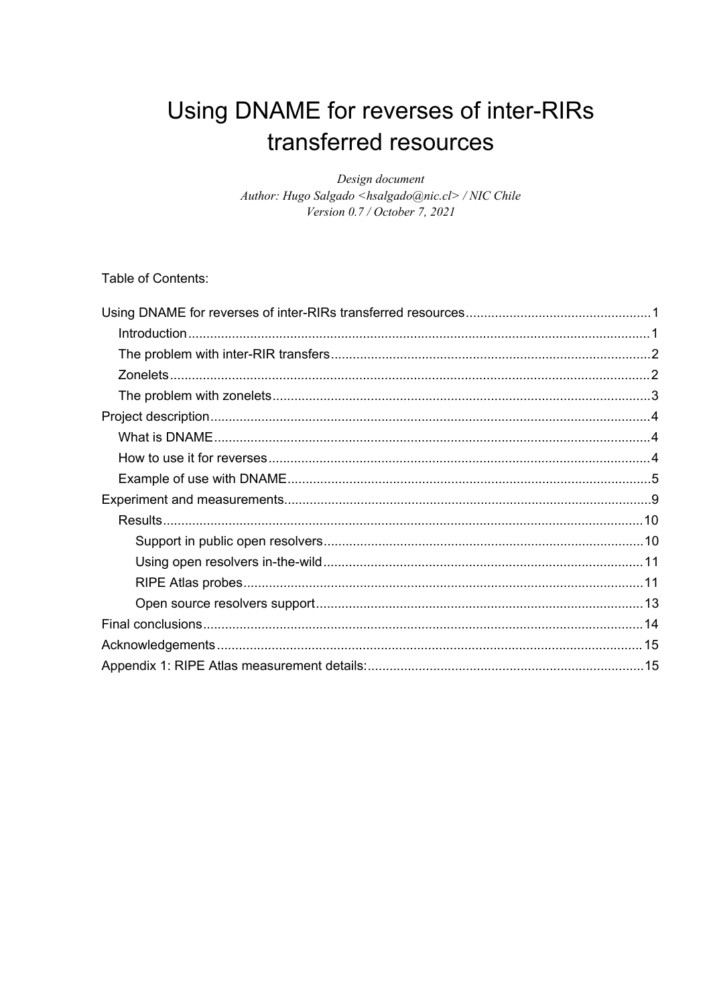# <span id="page-0-0"></span>Using DNAME for reverses of inter-RIRs transferred resources

Design document Author: Hugo Salgado <hsalgado@nic.cl> / NIC Chile Version 0.7 / October 7, 2021

Table of Contents: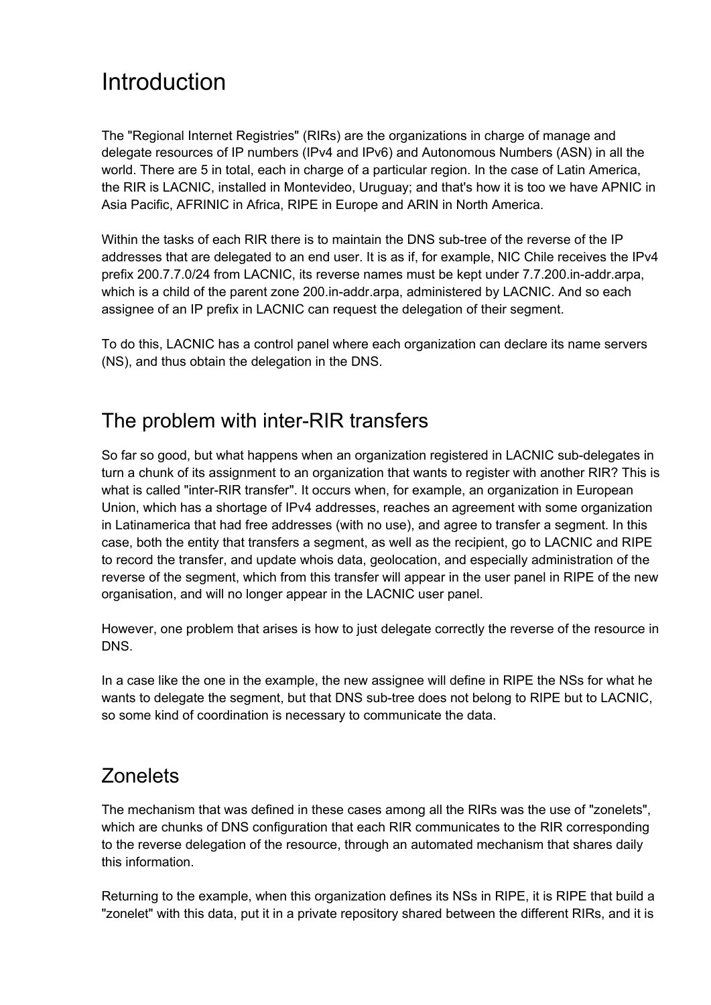## <span id="page-1-0"></span>Introduction

The "Regional Internet Registries" (RIRs) are the organizations in charge of manage and delegate resources of IP numbers (IPv4 and IPv6) and Autonomous Numbers (ASN) in all the world. There are 5 in total, each in charge of a particular region. In the case of Latin America, the RIR is LACNIC, installed in Montevideo, Uruguay; and that's how it is too we have APNIC in Asia Pacific, AFRINIC in Africa, RIPE in Europe and ARIN in North America.

Within the tasks of each RIR there is to maintain the DNS sub-tree of the reverse of the IP addresses that are delegated to an end user. It is as if, for example, NIC Chile receives the IPv4 prefix 200.7.7.0/24 from LACNIC, its reverse names must be kept under 7.7.200.in-addr.arpa, which is a child of the parent zone 200.in-addr.arpa, administered by LACNIC. And so each assignee of an IP prefix in LACNIC can request the delegation of their segment.

To do this, LACNIC has a control panel where each organization can declare its name servers (NS), and thus obtain the delegation in the DNS.

## <span id="page-1-1"></span>The problem with inter-RIR transfers

So far so good, but what happens when an organization registered in LACNIC sub-delegates in turn a chunk of its assignment to an organization that wants to register with another RIR? This is what is called "inter-RIR transfer". It occurs when, for example, an organization in European Union, which has a shortage of IPv4 addresses, reaches an agreement with some organization in Latinamerica that had free addresses (with no use), and agree to transfer a segment. In this case, both the entity that transfers a segment, as well as the recipient, go to LACNIC and RIPE to record the transfer, and update whois data, geolocation, and especially administration of the reverse of the segment, which from this transfer will appear in the user panel in RIPE of the new organisation, and will no longer appear in the LACNIC user panel.

However, one problem that arises is how to just delegate correctly the reverse of the resource in DNS.

In a case like the one in the example, the new assignee will define in RIPE the NSs for what he wants to delegate the segment, but that DNS sub-tree does not belong to RIPE but to LACNIC, so some kind of coordination is necessary to communicate the data.

## <span id="page-1-2"></span>**Zonelets**

The mechanism that was defined in these cases among all the RIRs was the use of "zonelets", which are chunks of DNS configuration that each RIR communicates to the RIR corresponding to the reverse delegation of the resource, through an automated mechanism that shares daily this information.

Returning to the example, when this organization defines its NSs in RIPE, it is RIPE that build a "zonelet" with this data, put it in a private repository shared between the different RIRs, and it is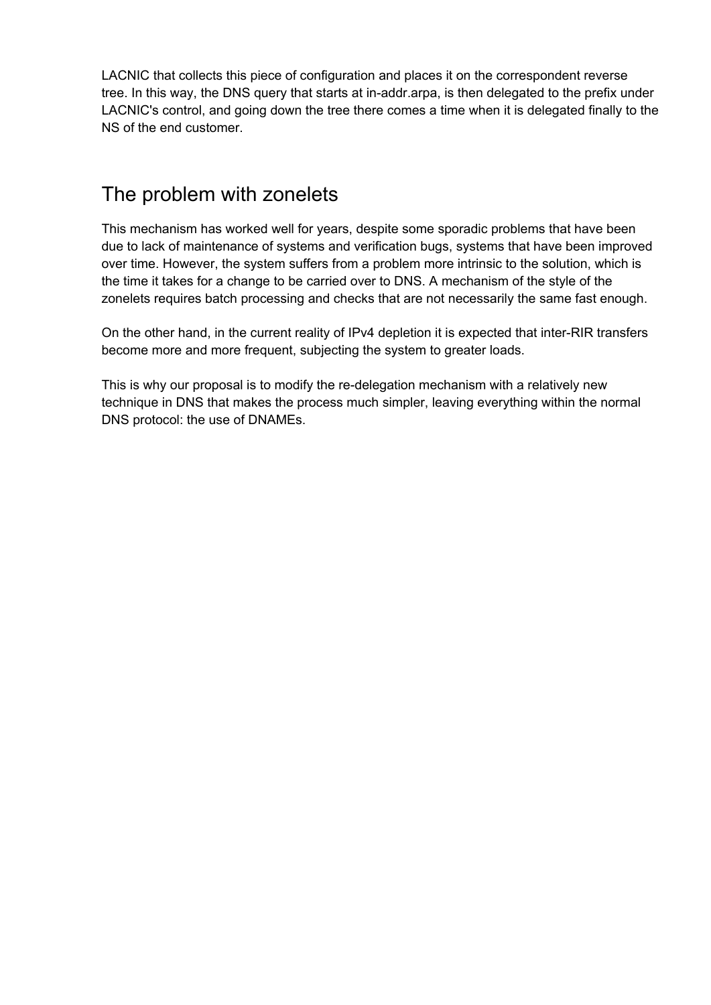LACNIC that collects this piece of configuration and places it on the correspondent reverse tree. In this way, the DNS query that starts at in-addr.arpa, is then delegated to the prefix under LACNIC's control, and going down the tree there comes a time when it is delegated finally to the NS of the end customer.

### <span id="page-2-0"></span>The problem with zonelets

This mechanism has worked well for years, despite some sporadic problems that have been due to lack of maintenance of systems and verification bugs, systems that have been improved over time. However, the system suffers from a problem more intrinsic to the solution, which is the time it takes for a change to be carried over to DNS. A mechanism of the style of the zonelets requires batch processing and checks that are not necessarily the same fast enough.

On the other hand, in the current reality of IPv4 depletion it is expected that inter-RIR transfers become more and more frequent, subjecting the system to greater loads.

This is why our proposal is to modify the re-delegation mechanism with a relatively new technique in DNS that makes the process much simpler, leaving everything within the normal DNS protocol: the use of DNAMEs.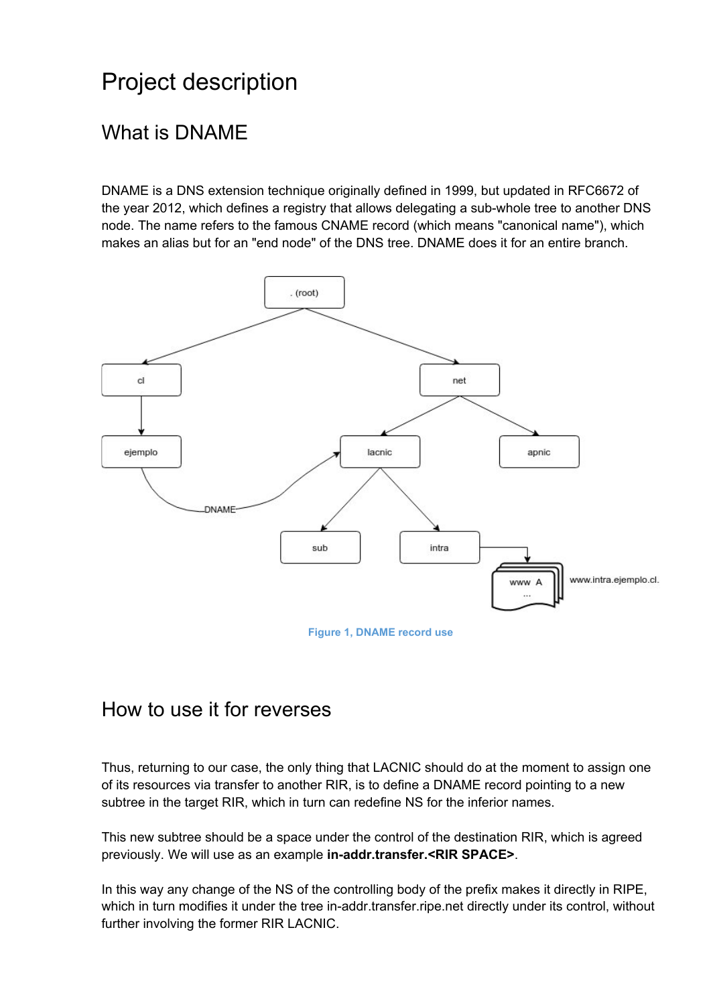# <span id="page-3-0"></span>Project description

## <span id="page-3-1"></span>What is DNAME

DNAME is a DNS extension technique originally defined in 1999, but updated in RFC6672 of the year 2012, which defines a registry that allows delegating a sub-whole tree to another DNS node. The name refers to the famous CNAME record (which means "canonical name"), which makes an alias but for an "end node" of the DNS tree. DNAME does it for an entire branch.



**Figure 1, DNAME record use**

#### <span id="page-3-2"></span>How to use it for reverses

Thus, returning to our case, the only thing that LACNIC should do at the moment to assign one of its resources via transfer to another RIR, is to define a DNAME record pointing to a new subtree in the target RIR, which in turn can redefine NS for the inferior names.

This new subtree should be a space under the control of the destination RIR, which is agreed previously. We will use as an example **in-addr.transfer.<RIR SPACE>**.

In this way any change of the NS of the controlling body of the prefix makes it directly in RIPE, which in turn modifies it under the tree in-addr.transfer.ripe.net directly under its control, without further involving the former RIR LACNIC.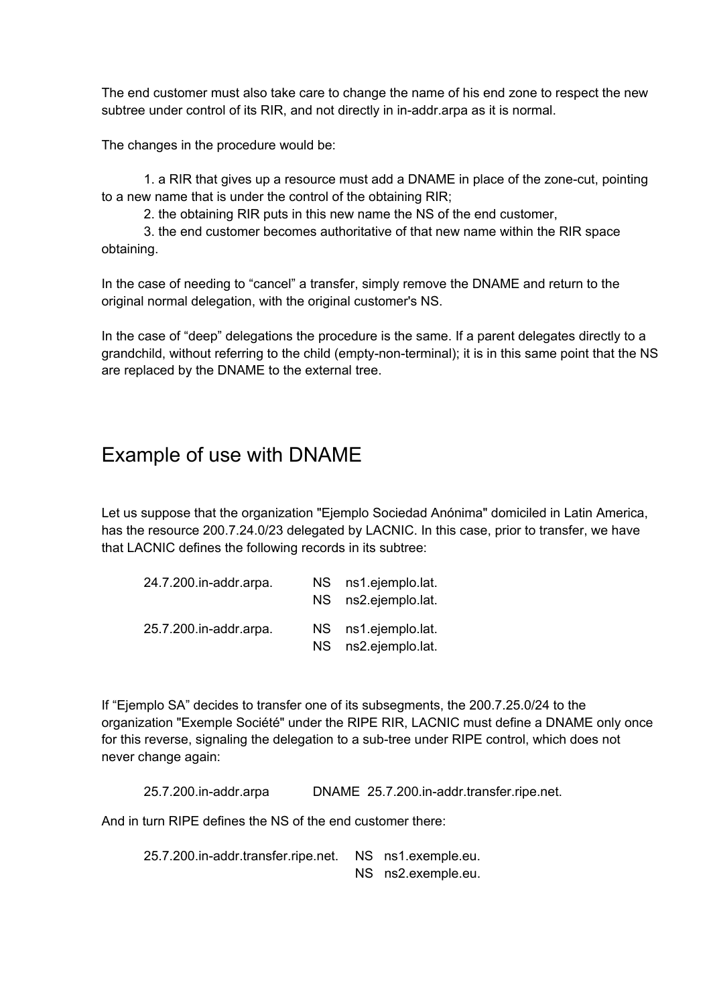The end customer must also take care to change the name of his end zone to respect the new subtree under control of its RIR, and not directly in in-addr.arpa as it is normal.

The changes in the procedure would be:

1. a RIR that gives up a resource must add a DNAME in place of the zone-cut, pointing to a new name that is under the control of the obtaining RIR;

2. the obtaining RIR puts in this new name the NS of the end customer,

3. the end customer becomes authoritative of that new name within the RIR space obtaining.

In the case of needing to "cancel" a transfer, simply remove the DNAME and return to the original normal delegation, with the original customer's NS.

In the case of "deep" delegations the procedure is the same. If a parent delegates directly to a grandchild, without referring to the child (empty-non-terminal); it is in this same point that the NS are replaced by the DNAME to the external tree.

#### <span id="page-4-0"></span>Example of use with DNAME

Let us suppose that the organization "Ejemplo Sociedad Anónima" domiciled in Latin America, has the resource 200.7.24.0/23 delegated by LACNIC. In this case, prior to transfer, we have that LACNIC defines the following records in its subtree:

| 24.7.200.in-addr.arpa. | NS ns1.ejemplo.lat.<br>NS ns2.ejemplo.lat. |
|------------------------|--------------------------------------------|
| 25.7.200.in-addr.arpa. | NS ns1.ejemplo.lat.<br>NS ns2.ejemplo.lat. |

If "Ejemplo SA" decides to transfer one of its subsegments, the 200.7.25.0/24 to the organization "Exemple Société" under the RIPE RIR, LACNIC must define a DNAME only once for this reverse, signaling the delegation to a sub-tree under RIPE control, which does not never change again:

25.7.200.in-addr.arpa DNAME 25.7.200.in-addr.transfer.ripe.net.

And in turn RIPE defines the NS of the end customer there:

25.7.200.in-addr.transfer.ripe.net. NS ns1.exemple.eu. NS ns2.exemple.eu.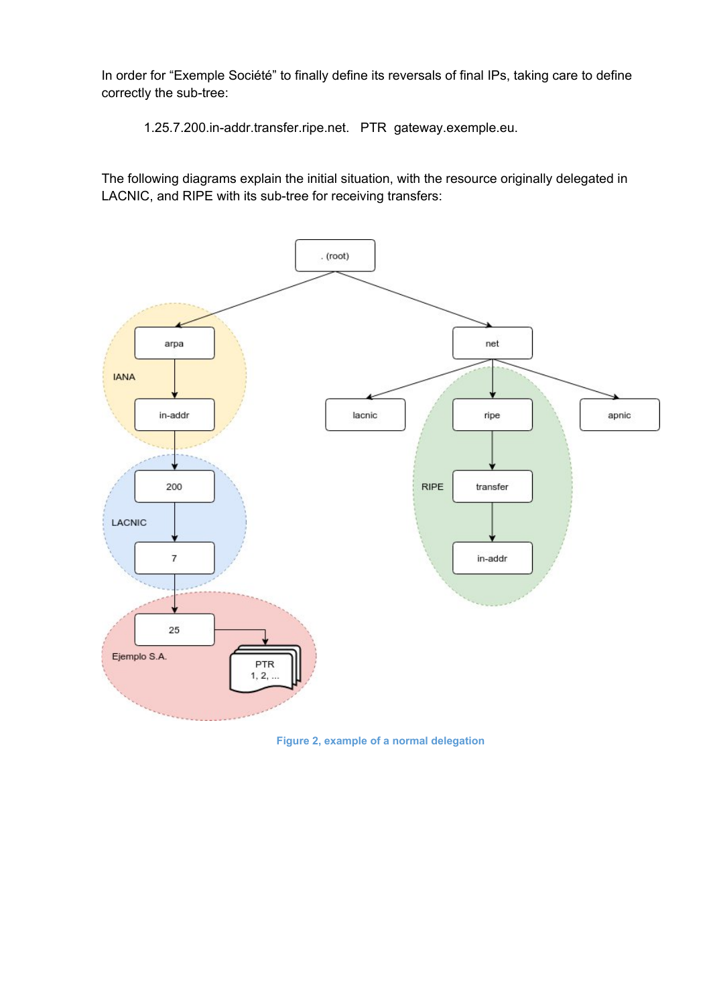In order for "Exemple Société" to finally define its reversals of final IPs, taking care to define correctly the sub-tree:

1.25.7.200.in-addr.transfer.ripe.net. PTR gateway.exemple.eu.

The following diagrams explain the initial situation, with the resource originally delegated in LACNIC, and RIPE with its sub-tree for receiving transfers:



**Figure 2, example of a normal delegation**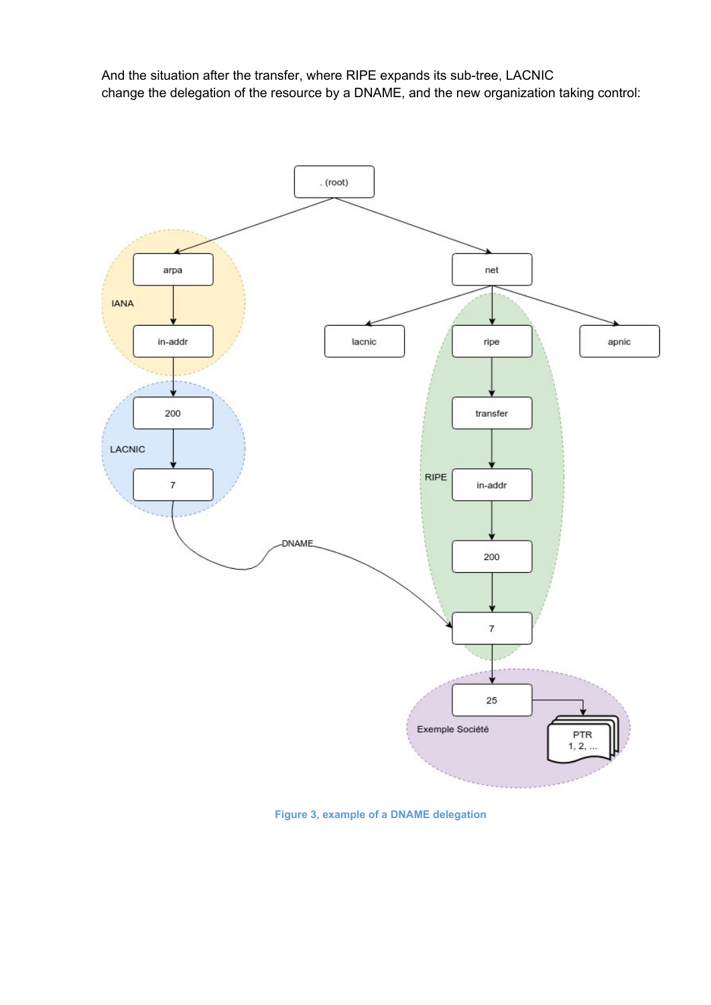And the situation after the transfer, where RIPE expands its sub-tree, LACNIC change the delegation of the resource by a DNAME, and the new organization taking control:



**Figure 3, example of a DNAME delegation**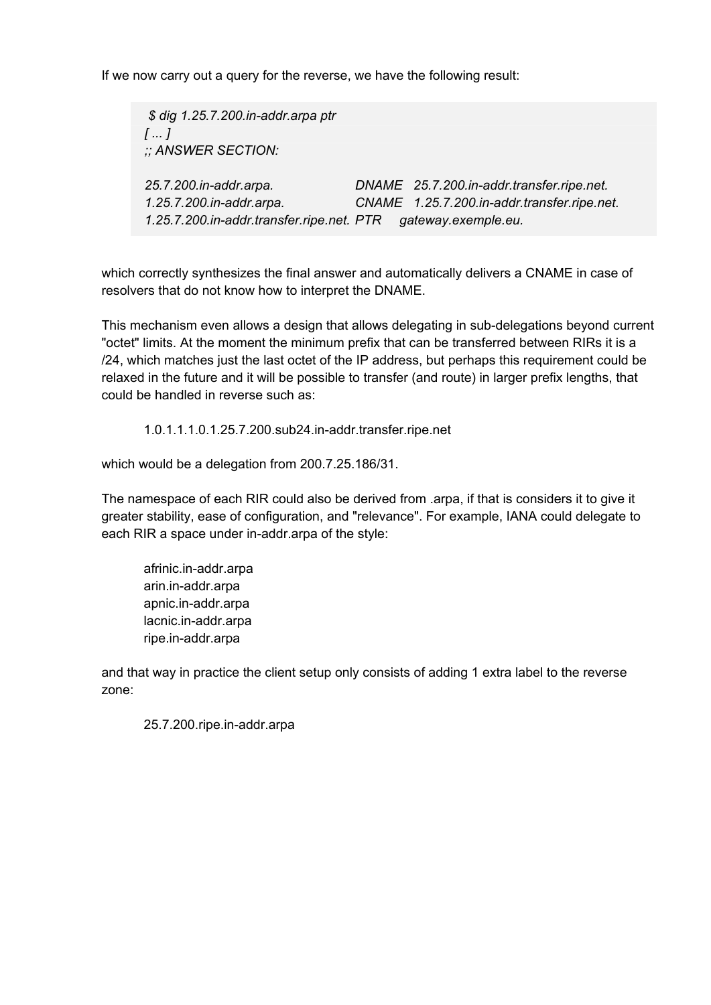If we now carry out a query for the reverse, we have the following result:

*\$ dig 1.25.7.200.in-addr.arpa ptr [ ... ] ;; ANSWER SECTION: 25.7.200.in-addr.arpa. DNAME 25.7.200.in-addr.transfer.ripe.net. 1.25.7.200.in-addr.arpa. CNAME 1.25.7.200.in-addr.transfer.ripe.net. 1.25.7.200.in-addr.transfer.ripe.net. PTR gateway.exemple.eu.*

which correctly synthesizes the final answer and automatically delivers a CNAME in case of resolvers that do not know how to interpret the DNAME.

This mechanism even allows a design that allows delegating in sub-delegations beyond current "octet" limits. At the moment the minimum prefix that can be transferred between RIRs it is a /24, which matches just the last octet of the IP address, but perhaps this requirement could be relaxed in the future and it will be possible to transfer (and route) in larger prefix lengths, that could be handled in reverse such as:

1.0.1.1.1.0.1.25.7.200.sub24.in-addr.transfer.ripe.net

which would be a delegation from 200.7.25.186/31.

The namespace of each RIR could also be derived from .arpa, if that is considers it to give it greater stability, ease of configuration, and "relevance". For example, IANA could delegate to each RIR a space under in-addr.arpa of the style:

afrinic.in-addr.arpa arin.in-addr.arpa apnic.in-addr.arpa lacnic.in-addr.arpa ripe.in-addr.arpa

and that way in practice the client setup only consists of adding 1 extra label to the reverse zone:

25.7.200.ripe.in-addr.arpa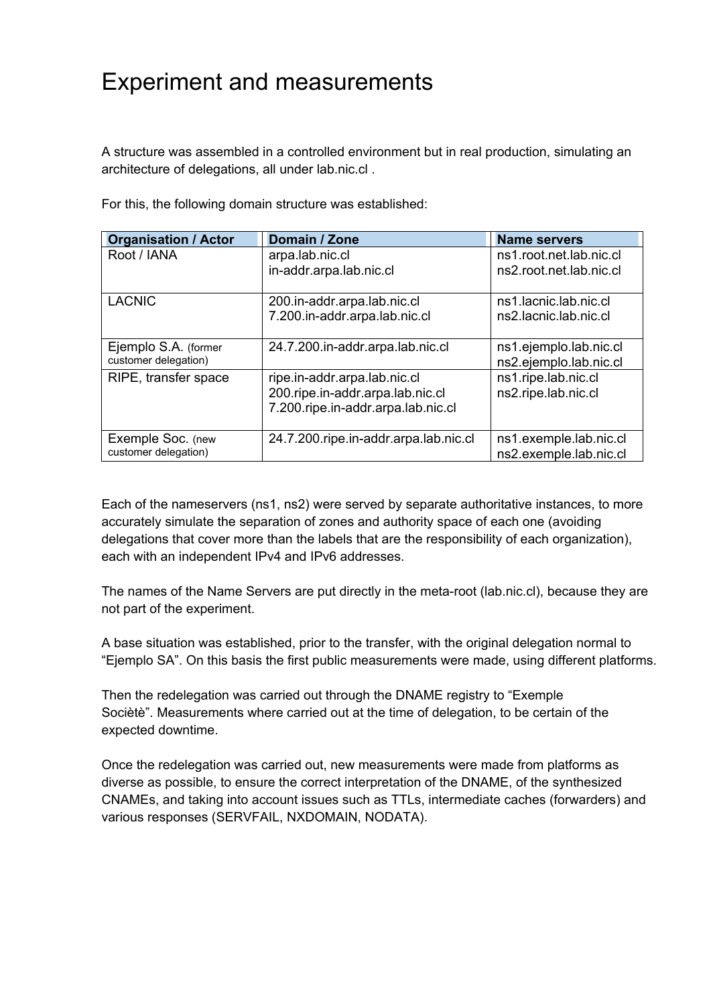## <span id="page-8-0"></span>Experiment and measurements

A structure was assembled in a controlled environment but in real production, simulating an architecture of delegations, all under lab.nic.cl .

| <b>Organisation / Actor</b>                  | Domain / Zone                                                                                          | <b>Name servers</b>                                |
|----------------------------------------------|--------------------------------------------------------------------------------------------------------|----------------------------------------------------|
| Root / IANA                                  | arpa.lab.nic.cl<br>in-addr.arpa.lab.nic.cl                                                             | ns1.root.net.lab.nic.cl<br>ns2.root.net.lab.nic.cl |
| <b>LACNIC</b>                                | 200.in-addr.arpa.lab.nic.cl<br>7.200.in-addr.arpa.lab.nic.cl                                           | ns1.lacnic.lab.nic.cl<br>ns2.lacnic.lab.nic.cl     |
| Ejemplo S.A. (former<br>customer delegation) | 24.7.200.in-addr.arpa.lab.nic.cl                                                                       | ns1.ejemplo.lab.nic.cl<br>ns2.ejemplo.lab.nic.cl   |
| RIPE, transfer space                         | ripe.in-addr.arpa.lab.nic.cl<br>200.ripe.in-addr.arpa.lab.nic.cl<br>7.200.ripe.in-addr.arpa.lab.nic.cl | ns1.ripe.lab.nic.cl<br>ns2.ripe.lab.nic.cl         |
| Exemple Soc. (new<br>customer delegation)    | 24.7.200.ripe.in-addr.arpa.lab.nic.cl                                                                  | ns1.exemple.lab.nic.cl<br>ns2.exemple.lab.nic.cl   |

For this, the following domain structure was established:

Each of the nameservers (ns1, ns2) were served by separate authoritative instances, to more accurately simulate the separation of zones and authority space of each one (avoiding delegations that cover more than the labels that are the responsibility of each organization), each with an independent IPv4 and IPv6 addresses.

The names of the Name Servers are put directly in the meta-root (lab.nic.cl), because they are not part of the experiment.

A base situation was established, prior to the transfer, with the original delegation normal to "Ejemplo SA". On this basis the first public measurements were made, using different platforms.

Then the redelegation was carried out through the DNAME registry to "Exemple Sociètè". Measurements where carried out at the time of delegation, to be certain of the expected downtime.

Once the redelegation was carried out, new measurements were made from platforms as diverse as possible, to ensure the correct interpretation of the DNAME, of the synthesized CNAMEs, and taking into account issues such as TTLs, intermediate caches (forwarders) and various responses (SERVFAIL, NXDOMAIN, NODATA).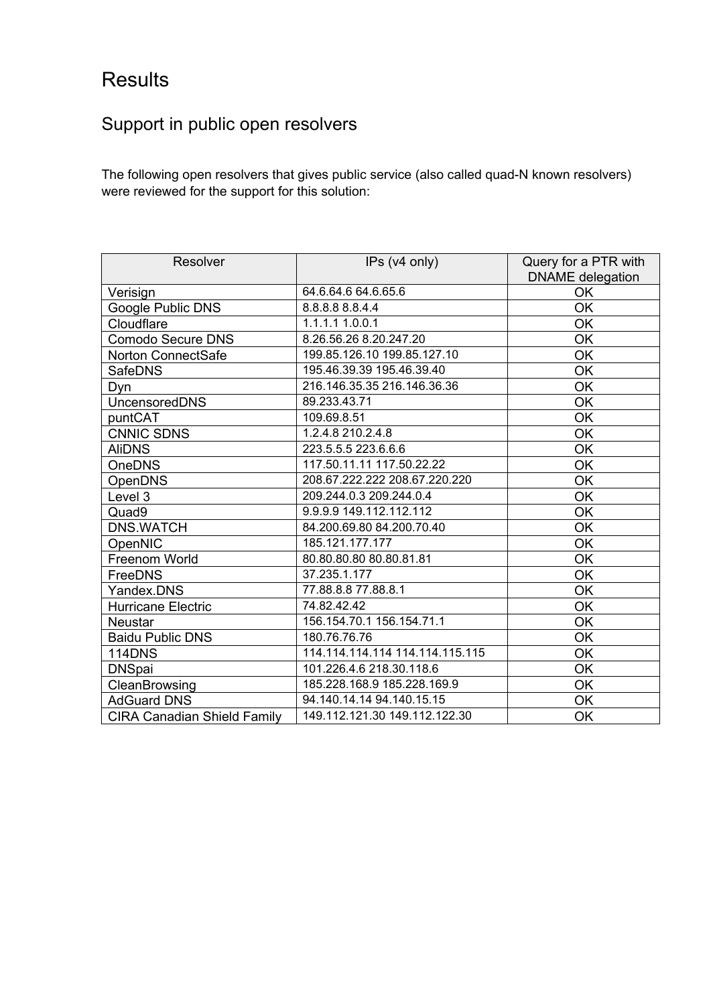## <span id="page-9-0"></span>**Results**

### <span id="page-9-1"></span>Support in public open resolvers

The following open resolvers that gives public service (also called quad-N known resolvers) were reviewed for the support for this solution:

| Resolver                           | IPs (v4 only)                   | Query for a PTR with<br><b>DNAME</b> delegation |
|------------------------------------|---------------------------------|-------------------------------------------------|
| Verisign                           | 64.6.64.6 64.6.65.6             | OK                                              |
| Google Public DNS                  | 8.8.8.8 8.8.4.4                 | OK                                              |
| Cloudflare                         | 1.1.1.1 1.0.0.1                 | OK                                              |
| <b>Comodo Secure DNS</b>           | 8.26.56.26 8.20.247.20          | OK                                              |
| Norton ConnectSafe                 | 199.85.126.10 199.85.127.10     | OK                                              |
| <b>SafeDNS</b>                     | 195.46.39.39 195.46.39.40       | OK                                              |
| Dyn                                | 216.146.35.35 216.146.36.36     | OK                                              |
| UncensoredDNS                      | 89.233.43.71                    | OK                                              |
| puntCAT                            | 109.69.8.51                     | OK                                              |
| <b>CNNIC SDNS</b>                  | 1.2.4.8 210.2.4.8               | OK                                              |
| <b>AliDNS</b>                      | 223.5.5.5 223.6.6.6             | OK                                              |
| OneDNS                             | 117.50.11.11 117.50.22.22       | OK                                              |
| OpenDNS                            | 208.67.222.222 208.67.220.220   | OK                                              |
| Level 3                            | 209.244.0.3 209.244.0.4         | OK                                              |
| Quad9                              | 9.9.9.9 149.112.112.112         | OK                                              |
| <b>DNS.WATCH</b>                   | 84.200.69.80 84.200.70.40       | OK                                              |
| OpenNIC                            | 185.121.177.177                 | OK                                              |
| Freenom World                      | 80.80.80.80 80.80.81.81         | OK                                              |
| FreeDNS                            | 37.235.1.177                    | OK                                              |
| Yandex.DNS                         | 77.88.8.8 77.88.8.1             | OK                                              |
| Hurricane Electric                 | 74.82.42.42                     | OK                                              |
| <b>Neustar</b>                     | 156.154.70.1 156.154.71.1       | OK                                              |
| <b>Baidu Public DNS</b>            | 180.76.76.76                    | OK                                              |
| <b>114DNS</b>                      | 114.114.114.114 114.114.115.115 | OK                                              |
| <b>DNSpai</b>                      | 101.226.4.6 218.30.118.6        | OK                                              |
| CleanBrowsing                      | 185.228.168.9 185.228.169.9     | OK                                              |
| <b>AdGuard DNS</b>                 | 94.140.14.14 94.140.15.15       | OK                                              |
| <b>CIRA Canadian Shield Family</b> | 149.112.121.30 149.112.122.30   | OK                                              |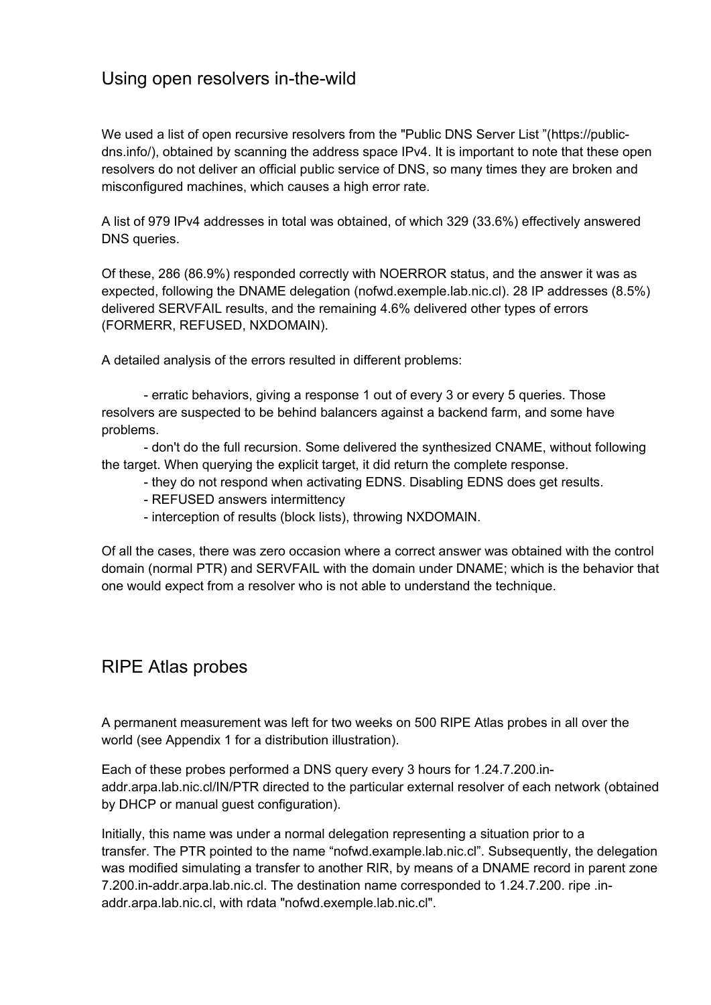#### <span id="page-10-0"></span>Using open resolvers in-the-wild

We used a list of open recursive resolvers from the "Public DNS Server List "(https://publicdns.info/), obtained by scanning the address space IPv4. It is important to note that these open resolvers do not deliver an official public service of DNS, so many times they are broken and misconfigured machines, which causes a high error rate.

A list of 979 IPv4 addresses in total was obtained, of which 329 (33.6%) effectively answered DNS queries.

Of these, 286 (86.9%) responded correctly with NOERROR status, and the answer it was as expected, following the DNAME delegation (nofwd.exemple.lab.nic.cl). 28 IP addresses (8.5%) delivered SERVFAIL results, and the remaining 4.6% delivered other types of errors (FORMERR, REFUSED, NXDOMAIN).

A detailed analysis of the errors resulted in different problems:

- erratic behaviors, giving a response 1 out of every 3 or every 5 queries. Those resolvers are suspected to be behind balancers against a backend farm, and some have problems.

- don't do the full recursion. Some delivered the synthesized CNAME, without following the target. When querying the explicit target, it did return the complete response.

- they do not respond when activating EDNS. Disabling EDNS does get results.

- REFUSED answers intermittency

- interception of results (block lists), throwing NXDOMAIN.

Of all the cases, there was zero occasion where a correct answer was obtained with the control domain (normal PTR) and SERVFAIL with the domain under DNAME; which is the behavior that one would expect from a resolver who is not able to understand the technique.

#### <span id="page-10-1"></span>RIPE Atlas probes

A permanent measurement was left for two weeks on 500 RIPE Atlas probes in all over the world (see Appendix 1 for a distribution illustration).

Each of these probes performed a DNS query every 3 hours for 1.24.7.200.inaddr.arpa.lab.nic.cl/IN/PTR directed to the particular external resolver of each network (obtained by DHCP or manual guest configuration).

Initially, this name was under a normal delegation representing a situation prior to a transfer. The PTR pointed to the name "nofwd.example.lab.nic.cl". Subsequently, the delegation was modified simulating a transfer to another RIR, by means of a DNAME record in parent zone 7.200.in-addr.arpa.lab.nic.cl. The destination name corresponded to 1.24.7.200. ripe .inaddr.arpa.lab.nic.cl, with rdata "nofwd.exemple.lab.nic.cl".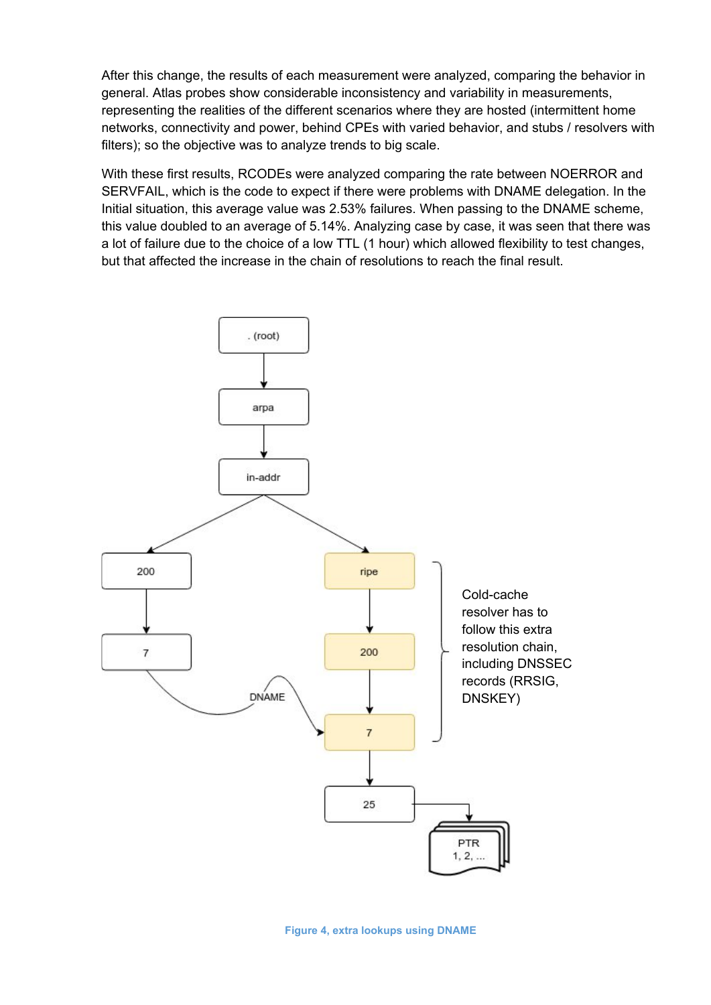After this change, the results of each measurement were analyzed, comparing the behavior in general. Atlas probes show considerable inconsistency and variability in measurements, representing the realities of the different scenarios where they are hosted (intermittent home networks, connectivity and power, behind CPEs with varied behavior, and stubs / resolvers with filters); so the objective was to analyze trends to big scale.

With these first results, RCODEs were analyzed comparing the rate between NOERROR and SERVFAIL, which is the code to expect if there were problems with DNAME delegation. In the Initial situation, this average value was 2.53% failures. When passing to the DNAME scheme, this value doubled to an average of 5.14%. Analyzing case by case, it was seen that there was a lot of failure due to the choice of a low TTL (1 hour) which allowed flexibility to test changes, but that affected the increase in the chain of resolutions to reach the final result.

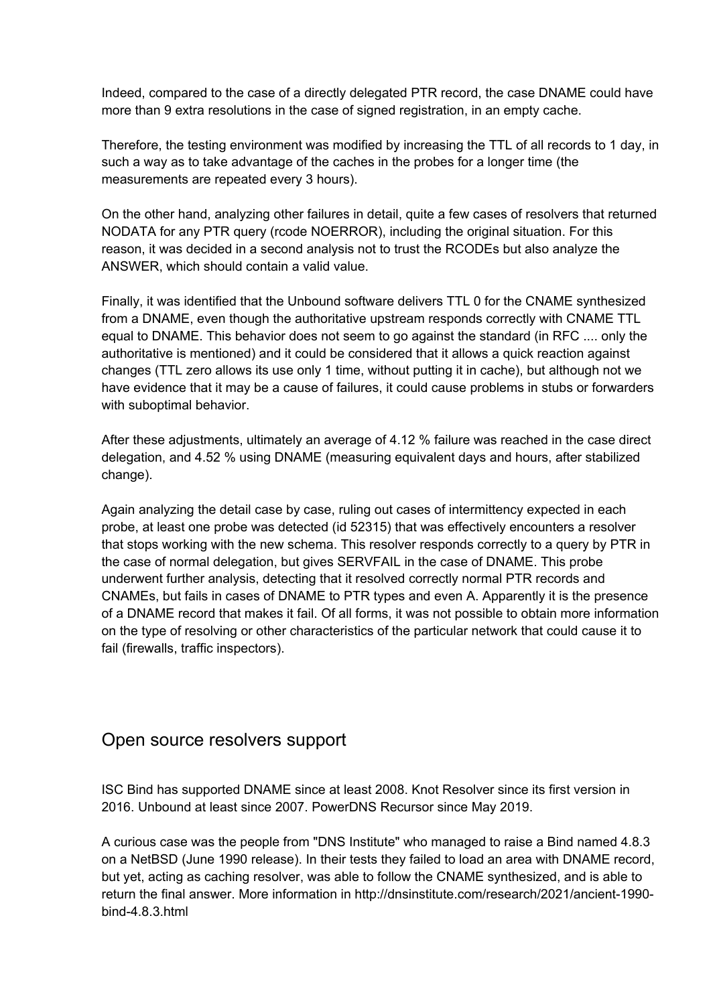Indeed, compared to the case of a directly delegated PTR record, the case DNAME could have more than 9 extra resolutions in the case of signed registration, in an empty cache.

Therefore, the testing environment was modified by increasing the TTL of all records to 1 day, in such a way as to take advantage of the caches in the probes for a longer time (the measurements are repeated every 3 hours).

On the other hand, analyzing other failures in detail, quite a few cases of resolvers that returned NODATA for any PTR query (rcode NOERROR), including the original situation. For this reason, it was decided in a second analysis not to trust the RCODEs but also analyze the ANSWER, which should contain a valid value.

Finally, it was identified that the Unbound software delivers TTL 0 for the CNAME synthesized from a DNAME, even though the authoritative upstream responds correctly with CNAME TTL equal to DNAME. This behavior does not seem to go against the standard (in RFC .... only the authoritative is mentioned) and it could be considered that it allows a quick reaction against changes (TTL zero allows its use only 1 time, without putting it in cache), but although not we have evidence that it may be a cause of failures, it could cause problems in stubs or forwarders with suboptimal behavior.

After these adjustments, ultimately an average of 4.12 % failure was reached in the case direct delegation, and 4.52 % using DNAME (measuring equivalent days and hours, after stabilized change).

Again analyzing the detail case by case, ruling out cases of intermittency expected in each probe, at least one probe was detected (id 52315) that was effectively encounters a resolver that stops working with the new schema. This resolver responds correctly to a query by PTR in the case of normal delegation, but gives SERVFAIL in the case of DNAME. This probe underwent further analysis, detecting that it resolved correctly normal PTR records and CNAMEs, but fails in cases of DNAME to PTR types and even A. Apparently it is the presence of a DNAME record that makes it fail. Of all forms, it was not possible to obtain more information on the type of resolving or other characteristics of the particular network that could cause it to fail (firewalls, traffic inspectors).

#### <span id="page-12-0"></span>Open source resolvers support

ISC Bind has supported DNAME since at least 2008. Knot Resolver since its first version in 2016. Unbound at least since 2007. PowerDNS Recursor since May 2019.

A curious case was the people from "DNS Institute" who managed to raise a Bind named 4.8.3 on a NetBSD (June 1990 release). In their tests they failed to load an area with DNAME record, but yet, acting as caching resolver, was able to follow the CNAME synthesized, and is able to return the final answer. More information in http://dnsinstitute.com/research/2021/ancient-1990 bind-4.8.3.html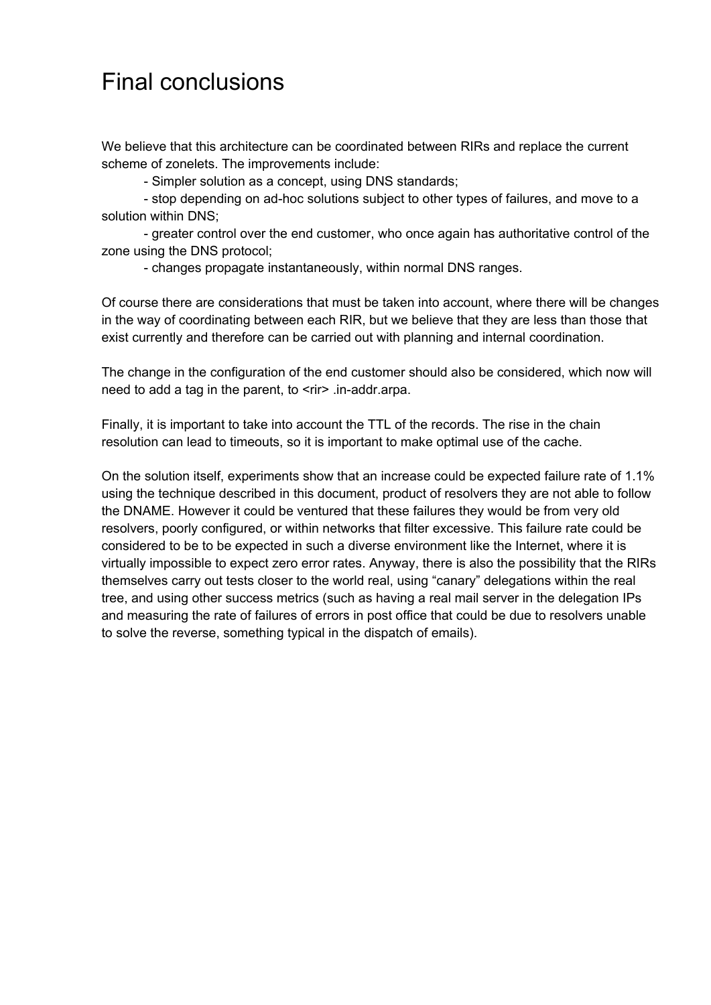## <span id="page-13-0"></span>Final conclusions

We believe that this architecture can be coordinated between RIRs and replace the current scheme of zonelets. The improvements include:

- Simpler solution as a concept, using DNS standards;

- stop depending on ad-hoc solutions subject to other types of failures, and move to a solution within DNS;

- greater control over the end customer, who once again has authoritative control of the zone using the DNS protocol;

- changes propagate instantaneously, within normal DNS ranges.

Of course there are considerations that must be taken into account, where there will be changes in the way of coordinating between each RIR, but we believe that they are less than those that exist currently and therefore can be carried out with planning and internal coordination.

The change in the configuration of the end customer should also be considered, which now will need to add a tag in the parent, to <rir> .in-addr.arpa.

Finally, it is important to take into account the TTL of the records. The rise in the chain resolution can lead to timeouts, so it is important to make optimal use of the cache.

On the solution itself, experiments show that an increase could be expected failure rate of 1.1% using the technique described in this document, product of resolvers they are not able to follow the DNAME. However it could be ventured that these failures they would be from very old resolvers, poorly configured, or within networks that filter excessive. This failure rate could be considered to be to be expected in such a diverse environment like the Internet, where it is virtually impossible to expect zero error rates. Anyway, there is also the possibility that the RIRs themselves carry out tests closer to the world real, using "canary" delegations within the real tree, and using other success metrics (such as having a real mail server in the delegation IPs and measuring the rate of failures of errors in post office that could be due to resolvers unable to solve the reverse, something typical in the dispatch of emails).